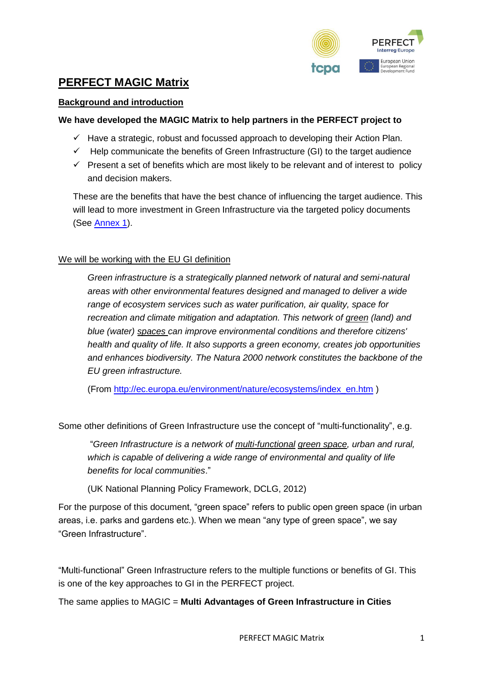

# **PERFECT MAGIC Matrix**

### **Background and introduction**

#### **We have developed the MAGIC Matrix to help partners in the PERFECT project to**

- $\checkmark$  Have a strategic, robust and focussed approach to developing their Action Plan.
- $\checkmark$  Help communicate the benefits of Green Infrastructure (GI) to the target audience
- $\checkmark$  Present a set of benefits which are most likely to be relevant and of interest to policy and decision makers.

These are the benefits that have the best chance of influencing the target audience. This will lead to more investment in Green Infrastructure via the targeted policy documents (See [Annex 1\)](#page-3-0).

### We will be working with the EU GI definition

*Green infrastructure is a strategically planned network of natural and semi-natural areas with other environmental features designed and managed to deliver a wide range of ecosystem services such as water purification, air quality, space for recreation and climate mitigation and adaptation. This network of green (land) and blue (water) spaces can improve environmental conditions and therefore citizens' health and quality of life. It also supports a green economy, creates job opportunities and enhances biodiversity. The Natura 2000 network constitutes the backbone of the EU green infrastructure.*

(From [http://ec.europa.eu/environment/nature/ecosystems/index\\_en.htm](http://ec.europa.eu/environment/nature/ecosystems/index_en.htm) )

Some other definitions of Green Infrastructure use the concept of "multi-functionality", e.g.

"*Green Infrastructure is a network of multi-functional green space, urban and rural, which is capable of delivering a wide range of environmental and quality of life benefits for local communities*."

(UK National Planning Policy Framework, DCLG, 2012)

For the purpose of this document, "green space" refers to public open green space (in urban areas, i.e. parks and gardens etc.). When we mean "any type of green space", we say "Green Infrastructure".

"Multi-functional" Green Infrastructure refers to the multiple functions or benefits of GI. This is one of the key approaches to GI in the PERFECT project.

The same applies to MAGIC = **Multi Advantages of Green Infrastructure in Cities**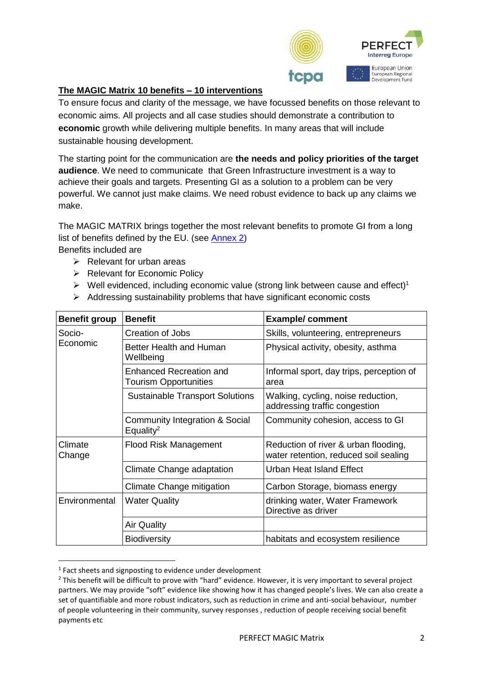

# **The MAGIC Matrix 10 benefits – 10 interventions**

To ensure focus and clarity of the message, we have focussed benefits on those relevant to economic aims. All projects and all case studies should demonstrate a contribution to **economic** growth while delivering multiple benefits. In many areas that will include sustainable housing development.

The starting point for the communication are **the needs and policy priorities of the target audience**. We need to communicate that Green Infrastructure investment is a way to achieve their goals and targets. Presenting GI as a solution to a problem can be very powerful. We cannot just make claims. We need robust evidence to back up any claims we make.

The MAGIC MATRIX brings together the most relevant benefits to promote GI from a long list of benefits defined by the EU. (see [Annex 2\)](#page-4-0)

Benefits included are

- $\triangleright$  Relevant for urban areas
- ➢ Relevant for Economic Policy
- $\triangleright$  Well evidenced, including economic value (strong link between cause and effect)<sup>1</sup>
- ➢ Addressing sustainability problems that have significant economic costs

| <b>Benefit group</b> | <b>Benefit</b>                                          | <b>Example/comment</b>                                                        |  |  |
|----------------------|---------------------------------------------------------|-------------------------------------------------------------------------------|--|--|
| Socio-<br>Economic   | <b>Creation of Jobs</b>                                 | Skills, volunteering, entrepreneurs                                           |  |  |
|                      | Better Health and Human<br>Wellbeing                    | Physical activity, obesity, asthma                                            |  |  |
|                      | Enhanced Recreation and<br><b>Tourism Opportunities</b> | Informal sport, day trips, perception of<br>area                              |  |  |
|                      | <b>Sustainable Transport Solutions</b>                  | Walking, cycling, noise reduction,<br>addressing traffic congestion           |  |  |
|                      | Community Integration & Social<br>Equality <sup>2</sup> | Community cohesion, access to GI                                              |  |  |
| Climate<br>Change    | <b>Flood Risk Management</b>                            | Reduction of river & urban flooding,<br>water retention, reduced soil sealing |  |  |
|                      | Climate Change adaptation                               | <b>Urban Heat Island Effect</b>                                               |  |  |
|                      | Climate Change mitigation                               | Carbon Storage, biomass energy                                                |  |  |
| Environmental        | <b>Water Quality</b>                                    | drinking water, Water Framework<br>Directive as driver                        |  |  |
|                      | <b>Air Quality</b>                                      |                                                                               |  |  |
|                      | <b>Biodiversity</b>                                     | habitats and ecosystem resilience                                             |  |  |

<sup>&</sup>lt;sup>1</sup> Fact sheets and signposting to evidence under development

**.** 

<sup>&</sup>lt;sup>2</sup> This benefit will be difficult to prove with "hard" evidence. However, it is very important to several project partners. We may provide "soft" evidence like showing how it has changed people's lives. We can also create a set of quantifiable and more robust indicators, such as reduction in crime and anti-social behaviour, number of people volunteering in their community, survey responses , reduction of people receiving social benefit payments etc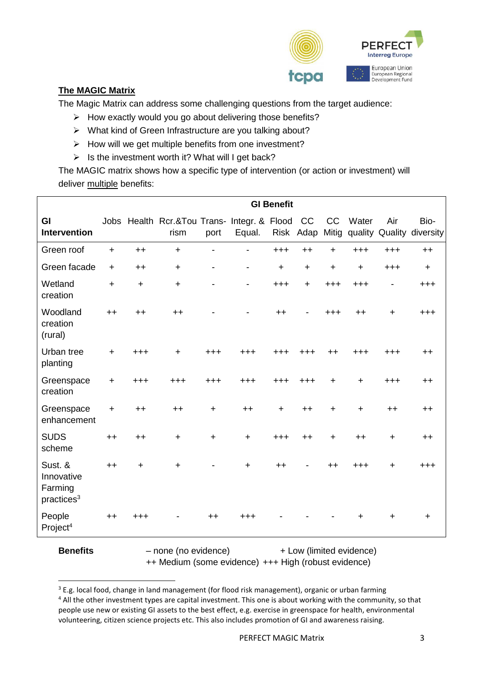

# **The MAGIC Matrix**

The Magic Matrix can address some challenging questions from the target audience:

- ➢ How exactly would you go about delivering those benefits?
- ➢ What kind of Green Infrastructure are you talking about?
- ➢ How will we get multiple benefits from one investment?
- ➢ Is the investment worth it? What will I get back?

The MAGIC matrix shows how a specific type of intervention (or action or investment) will deliver multiple benefits:

|                                                            |            | <b>GI Benefit</b> |                                                        |                          |                              |          |                          |           |             |           |                                         |
|------------------------------------------------------------|------------|-------------------|--------------------------------------------------------|--------------------------|------------------------------|----------|--------------------------|-----------|-------------|-----------|-----------------------------------------|
| GI<br><b>Intervention</b>                                  |            |                   | Jobs Health Rcr.&Tou Trans- Integr. & Flood CC<br>rism | port                     | Equal.                       |          | Risk Adap                | CC        | Water       | Air       | Bio-<br>Mitig quality Quality diversity |
| Green roof                                                 | $+$        | $++$              | $+$                                                    |                          | $\blacksquare$               | $^{+++}$ | $++$                     | $+$       | $+ + +$     | $+ + +$   | $++$                                    |
| Green facade                                               | $+$        | $++$              | $+$                                                    | $\overline{\phantom{a}}$ | $\qquad \qquad \blacksquare$ | $+$      | $+$                      | $\ddot{}$ | $\ddot{}$   | $+ + +$   | $+$                                     |
| Wetland<br>creation                                        | $+$        | $\ddot{}$         | $+$                                                    |                          | $\overline{\phantom{0}}$     | $+ + +$  | $\ddot{}$                | $+ + +$   | $+ + +$     |           | $^{+++}$                                |
| Woodland<br>creation<br>(rural)                            | $++$       | $++$              | $++$                                                   |                          |                              | $++$     | $\overline{\phantom{0}}$ | $^{+++}$  | $++$        | $+$       | $^{+++}$                                |
| Urban tree<br>planting                                     | $+$        | $+ + +$           | $\ddot{}$                                              | $+ + +$                  | $+ + +$                      | $+ + +$  | $+ + +$                  | $++$      | $+ + +$     | $^{+++}$  | $++$                                    |
| Greenspace<br>creation                                     | $\ddot{+}$ | $+ + +$           | $+ + +$                                                | $+ + +$                  | $+ + +$                      | $+ + +$  | $+ + +$                  | $\ddot{}$ | $+$         | $+ + +$   | $++$                                    |
| Greenspace<br>enhancement                                  | $\ddot{}$  | $++$              | $++$                                                   | $\ddotmark$              | $++$                         | $+$      | $++$                     | $\ddot{}$ | $\ddotmark$ | $++$      | $++$                                    |
| <b>SUDS</b><br>scheme                                      | $++$       | $++$              | $\ddot{}$                                              | $+$                      | $+$                          | $+ + +$  | $++$                     | $\ddot{}$ | $++$        | $\ddot{}$ | $++$                                    |
| Sust. &<br>Innovative<br>Farming<br>practices <sup>3</sup> | $++$       | $\ddot{}$         | $\ddot{}$                                              |                          | $\ddot{}$                    | $++$     |                          | $++$      | $^{+++}$    | $\ddot{}$ | $+ + +$                                 |
| People<br>Project <sup>4</sup>                             | $++$       | $^{\mathrm{+++}}$ |                                                        | $++$                     | $+ + +$                      |          |                          |           | $\ddot{}$   | $\ddot{}$ | $\ddot{}$                               |

1

**Benefits** – none (no evidence) + Low (limited evidence) ++ Medium (some evidence) +++ High (robust evidence)

<sup>&</sup>lt;sup>3</sup> E.g. local food, change in land management (for flood risk management), organic or urban farming <sup>4</sup> All the other investment types are capital investment. This one is about working with the community, so that people use new or existing GI assets to the best effect, e.g. exercise in greenspace for health, environmental volunteering, citizen science projects etc. This also includes promotion of GI and awareness raising.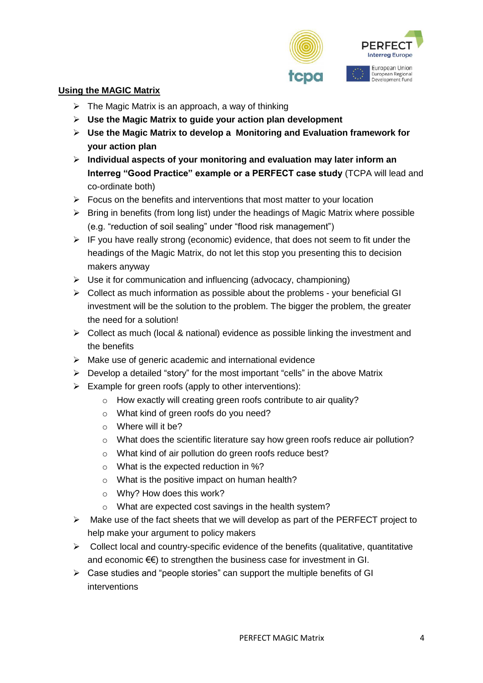

## **Using the MAGIC Matrix**

- $\triangleright$  The Magic Matrix is an approach, a way of thinking
- ➢ **Use the Magic Matrix to guide your action plan development**
- ➢ **Use the Magic Matrix to develop a Monitoring and Evaluation framework for your action plan**
- ➢ **Individual aspects of your monitoring and evaluation may later inform an Interreg "Good Practice" example or a PERFECT case study** (TCPA will lead and co-ordinate both)
- $\triangleright$  Focus on the benefits and interventions that most matter to your location
- $\triangleright$  Bring in benefits (from long list) under the headings of Magic Matrix where possible (e.g. "reduction of soil sealing" under "flood risk management")
- $\triangleright$  IF you have really strong (economic) evidence, that does not seem to fit under the headings of the Magic Matrix, do not let this stop you presenting this to decision makers anyway
- $\triangleright$  Use it for communication and influencing (advocacy, championing)
- ➢ Collect as much information as possible about the problems your beneficial GI investment will be the solution to the problem. The bigger the problem, the greater the need for a solution!
- ➢ Collect as much (local & national) evidence as possible linking the investment and the benefits
- ➢ Make use of generic academic and international evidence
- $\triangleright$  Develop a detailed "story" for the most important "cells" in the above Matrix
- $\triangleright$  Example for green roofs (apply to other interventions):
	- o How exactly will creating green roofs contribute to air quality?
	- o What kind of green roofs do you need?
	- o Where will it be?
	- $\circ$  What does the scientific literature say how green roofs reduce air pollution?
	- o What kind of air pollution do green roofs reduce best?
	- o What is the expected reduction in %?
	- o What is the positive impact on human health?
	- o Why? How does this work?
	- o What are expected cost savings in the health system?
- $\triangleright$  Make use of the fact sheets that we will develop as part of the PERFECT project to help make your argument to policy makers
- $\triangleright$  Collect local and country-specific evidence of the benefits (qualitative, quantitative and economic €€) to strengthen the business case for investment in GI.
- <span id="page-3-0"></span>➢ Case studies and "people stories" can support the multiple benefits of GI interventions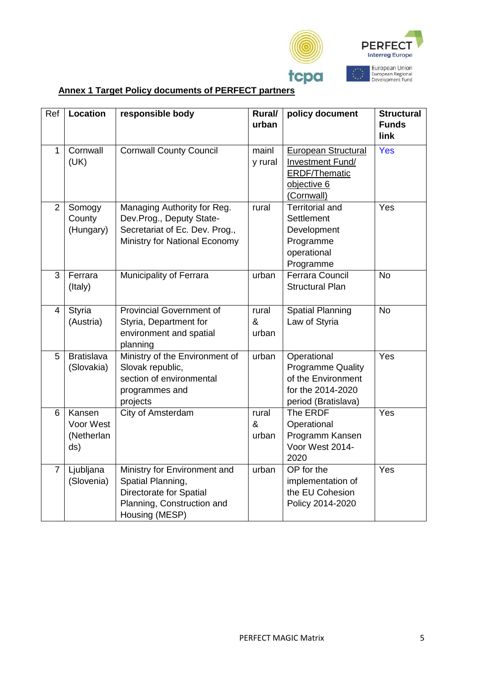

# **Annex 1 Target Policy documents of PERFECT partners**

<span id="page-4-0"></span>

| Ref            | <b>Location</b>                          | responsible body                                                                                                                    | Rural/<br>urban     | policy document                                                                                           | <b>Structural</b><br><b>Funds</b><br>link |
|----------------|------------------------------------------|-------------------------------------------------------------------------------------------------------------------------------------|---------------------|-----------------------------------------------------------------------------------------------------------|-------------------------------------------|
| $\mathbf{1}$   | Cornwall<br>(UK)                         | <b>Cornwall County Council</b>                                                                                                      | mainl<br>y rural    | <b>European Structural</b><br>Investment Fund/<br><b>ERDF/Thematic</b><br>objective 6<br>(Cornwall)       | Yes                                       |
| $\overline{2}$ | Somogy<br>County<br>(Hungary)            | Managing Authority for Reg.<br>Dev.Prog., Deputy State-<br>Secretariat of Ec. Dev. Prog.,<br>Ministry for National Economy          | rural               | <b>Territorial and</b><br>Settlement<br>Development<br>Programme<br>operational<br>Programme              | Yes                                       |
| $\overline{3}$ | Ferrara<br>(Italy)                       | Municipality of Ferrara                                                                                                             | urban               | <b>Ferrara Council</b><br><b>Structural Plan</b>                                                          | N <sub>o</sub>                            |
| $\overline{4}$ | Styria<br>(Austria)                      | <b>Provincial Government of</b><br>Styria, Department for<br>environment and spatial<br>planning                                    | rural<br>&<br>urban | <b>Spatial Planning</b><br>Law of Styria                                                                  | <b>No</b>                                 |
| 5              | <b>Bratislava</b><br>(Slovakia)          | Ministry of the Environment of<br>Slovak republic,<br>section of environmental<br>programmes and<br>projects                        | urban               | Operational<br><b>Programme Quality</b><br>of the Environment<br>for the 2014-2020<br>period (Bratislava) | Yes                                       |
| 6              | Kansen<br>Voor West<br>(Netherlan<br>ds) | City of Amsterdam                                                                                                                   | rural<br>&<br>urban | The ERDF<br>Operational<br>Programm Kansen<br>Voor West 2014-<br>2020                                     | Yes                                       |
| $\overline{7}$ | Ljubljana<br>(Slovenia)                  | Ministry for Environment and<br>Spatial Planning,<br><b>Directorate for Spatial</b><br>Planning, Construction and<br>Housing (MESP) | urban               | OP for the<br>implementation of<br>the EU Cohesion<br>Policy 2014-2020                                    | Yes                                       |